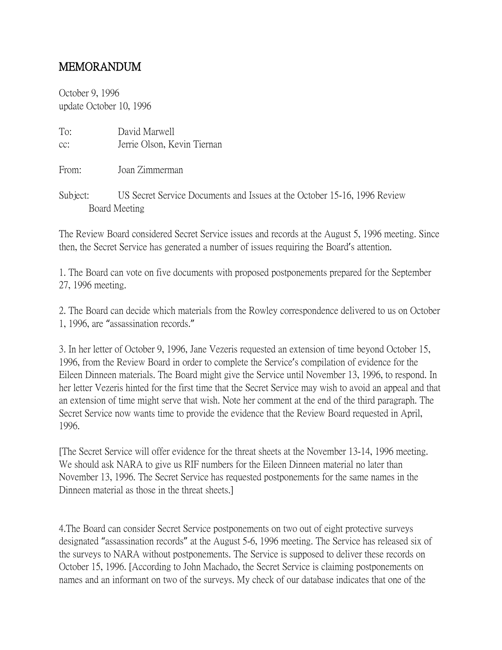## MEMORANDUM

October 9, 1996 update October 10, 1996

Board Meeting

| To:<br>CC: | David Marwell<br>Jerrie Olson, Kevin Tiernan                             |
|------------|--------------------------------------------------------------------------|
| From:      | Joan Zimmerman                                                           |
| Subject:   | US Secret Service Documents and Issues at the October 15-16, 1996 Review |

The Review Board considered Secret Service issues and records at the August 5, 1996 meeting. Since then, the Secret Service has generated a number of issues requiring the Board's attention.

1. The Board can vote on five documents with proposed postponements prepared for the September 27, 1996 meeting.

2. The Board can decide which materials from the Rowley correspondence delivered to us on October 1, 1996, are "assassination records."

3. In her letter of October 9, 1996, Jane Vezeris requested an extension of time beyond October 15, 1996, from the Review Board in order to complete the Service's compilation of evidence for the Eileen Dinneen materials. The Board might give the Service until November 13, 1996, to respond. In her letter Vezeris hinted for the first time that the Secret Service may wish to avoid an appeal and that an extension of time might serve that wish. Note her comment at the end of the third paragraph. The Secret Service now wants time to provide the evidence that the Review Board requested in April, 1996.

[The Secret Service will offer evidence for the threat sheets at the November 13-14, 1996 meeting. We should ask NARA to give us RIF numbers for the Eileen Dinneen material no later than November 13, 1996. The Secret Service has requested postponements for the same names in the Dinneen material as those in the threat sheets.]

4.The Board can consider Secret Service postponements on two out of eight protective surveys designated "assassination records" at the August 5-6, 1996 meeting. The Service has released six of the surveys to NARA without postponements. The Service is supposed to deliver these records on October 15, 1996. [According to John Machado, the Secret Service is claiming postponements on names and an informant on two of the surveys. My check of our database indicates that one of the